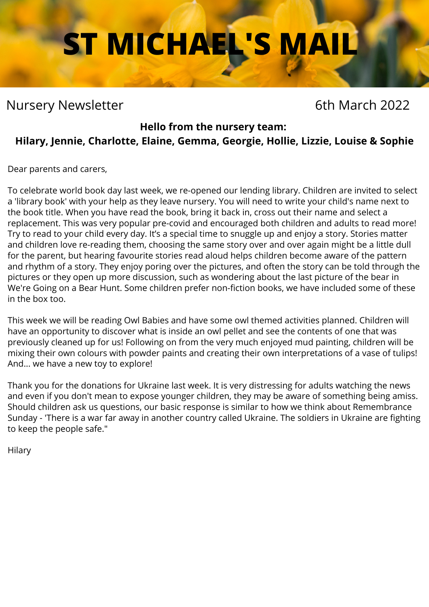# **ST MICHAEL'S MAIL**

# Nursery Newsletter **6th March 2022**

### **Hello from the nursery team:**

# **Hilary, Jennie, Charlotte, Elaine, Gemma, Georgie, Hollie, Lizzie, Louise & Sophie**

Dear parents and carers,

To celebrate world book day last week, we re-opened our lending library. Children are invited to select a 'library book' with your help as they leave nursery. You will need to write your child's name next to the book title. When you have read the book, bring it back in, cross out their name and select a replacement. This was very popular pre-covid and encouraged both children and adults to read more! Try to read to your child every day. It's a special time to snuggle up and enjoy a story. Stories matter and children love re-reading them, choosing the same story over and over again might be a little dull for the parent, but hearing favourite stories read aloud helps children become aware of the pattern and rhythm of a story. They enjoy poring over the pictures, and often the story can be told through the pictures or they open up more discussion, such as wondering about the last picture of the bear in We're Going on a Bear Hunt. Some children prefer non-fiction books, we have included some of these in the box too.

This week we will be reading Owl Babies and have some owl themed activities planned. Children will have an opportunity to discover what is inside an owl pellet and see the contents of one that was previously cleaned up for us! Following on from the very much enjoyed mud painting, children will be mixing their own colours with powder paints and creating their own interpretations of a vase of tulips! And... we have a new toy to explore!

Thank you for the donations for Ukraine last week. It is very distressing for adults watching the news and even if you don't mean to expose younger children, they may be aware of something being amiss. Should children ask us questions, our basic response is similar to how we think about Remembrance Sunday - 'There is a war far away in another country called Ukraine. The soldiers in Ukraine are fighting to keep the people safe."

Hilary